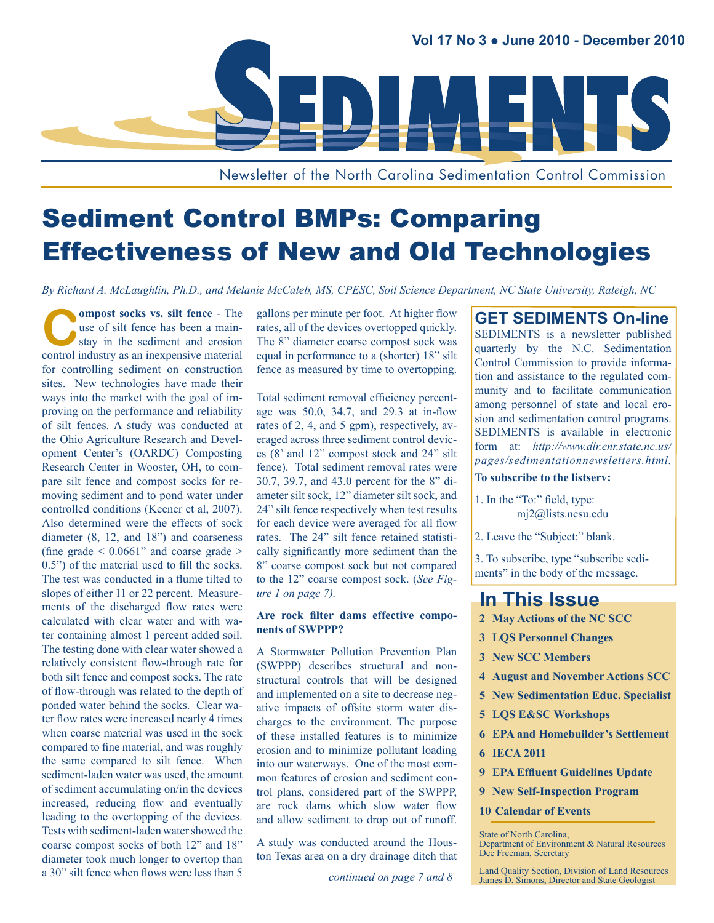

Newsletter of the North Carolina Sedimentation Control Commission

# Sediment Control BMPs: Comparing Effectiveness of New and Old Technologies

*By Richard A. McLaughlin, Ph.D., and Melanie McCaleb, MS, CPESC, Soil Science Department, NC State University, Raleigh, NC*

**Compost socks vs. silt fence** - The use of silt fence has been a main-<br>stay in the sediment and erosion use of silt fence has been a mainstay in the sediment and erosion control industry as an inexpensive material for controlling sediment on construction sites. New technologies have made their ways into the market with the goal of improving on the performance and reliability of silt fences. A study was conducted at the Ohio Agriculture Research and Development Center's (OARDC) Composting Research Center in Wooster, OH, to compare silt fence and compost socks for removing sediment and to pond water under controlled conditions (Keener et al, 2007). Also determined were the effects of sock diameter (8, 12, and 18") and coarseness (fine grade  $\leq 0.0661$ " and coarse grade  $>$ 0.5") of the material used to fill the socks. The test was conducted in a flume tilted to slopes of either 11 or 22 percent. Measurements of the discharged flow rates were calculated with clear water and with water containing almost 1 percent added soil. The testing done with clear water showed a relatively consistent flow-through rate for both silt fence and compost socks. The rate of flow-through was related to the depth of ponded water behind the socks. Clear water flow rates were increased nearly 4 times when coarse material was used in the sock compared to fine material, and was roughly the same compared to silt fence. When sediment-laden water was used, the amount of sediment accumulating on/in the devices increased, reducing flow and eventually leading to the overtopping of the devices. Tests with sediment-laden water showed the coarse compost socks of both 12" and 18" diameter took much longer to overtop than a 30" silt fence when flows were less than 5

gallons per minute per foot. At higher flow rates, all of the devices overtopped quickly. The 8" diameter coarse compost sock was equal in performance to a (shorter) 18" silt fence as measured by time to overtopping.

Total sediment removal efficiency percentage was 50.0, 34.7, and 29.3 at in-flow rates of 2, 4, and 5 gpm), respectively, averaged across three sediment control devices (8' and 12" compost stock and 24" silt fence). Total sediment removal rates were 30.7, 39.7, and 43.0 percent for the 8" diameter silt sock, 12" diameter silt sock, and 24" silt fence respectively when test results for each device were averaged for all flow rates. The 24" silt fence retained statistically significantly more sediment than the 8" coarse compost sock but not compared to the 12" coarse compost sock. (*See Figure 1 on page 7).*

#### **Are rock filter dams effective components of SWPPP?**

A Stormwater Pollution Prevention Plan (SWPPP) describes structural and nonstructural controls that will be designed and implemented on a site to decrease negative impacts of offsite storm water discharges to the environment. The purpose of these installed features is to minimize erosion and to minimize pollutant loading into our waterways. One of the most common features of erosion and sediment control plans, considered part of the SWPPP, are rock dams which slow water flow and allow sediment to drop out of runoff.

A study was conducted around the Houston Texas area on a dry drainage ditch that

#### **GET SEDIMENTS On-line**

SEDIMENTS is a newsletter published quarterly by the N.C. Sedimentation Control Commission to provide information and assistance to the regulated community and to facilitate communication among personnel of state and local erosion and sedimentation control programs. SEDIMENTS is available in electronic form at: *[http://www.dlr.enr.state.nc.us/](http://www.dlr.enr.state.nc.us/pages/sedimentationnewsletters.html) [pages/sedimentationnewsletters.html.](http://www.dlr.enr.state.nc.us/pages/sedimentationnewsletters.html)*

#### **To subscribe to the listserv:**

- 1. In the "To:" field, type: mj2@lists.ncsu.edu
- 2. Leave the "Subject:" blank.

3. To subscribe, type "subscribe sediments" in the body of the message.

## **In This Issue**

- **2 [May Actions of the NC SCC](#page-9-0)**
- **3 [LQS Personnel Changes](#page-9-0)**
- **3 [New SCC Members](#page-9-0)**
- **4 [August and November Actions SCC](#page-9-0)**
- **5 [New Sedimentation Educ. Specialist](#page-9-0)**
- **5 [LQS E&SC Workshops](#page-9-0)**
- **6 [EPA and Homebuilder's Settlement](#page-9-0)**
- **6 [IECA 2011](#page-9-0)**
- **9** EPA Effluent Guidelines Update
- **9 [New Self-Inspection Program](#page-9-0)**
- **[10 Calendar of Events](#page-9-0)**

State of North Carolina, Department of Environment & Natural Resources Dee Freeman, Secretary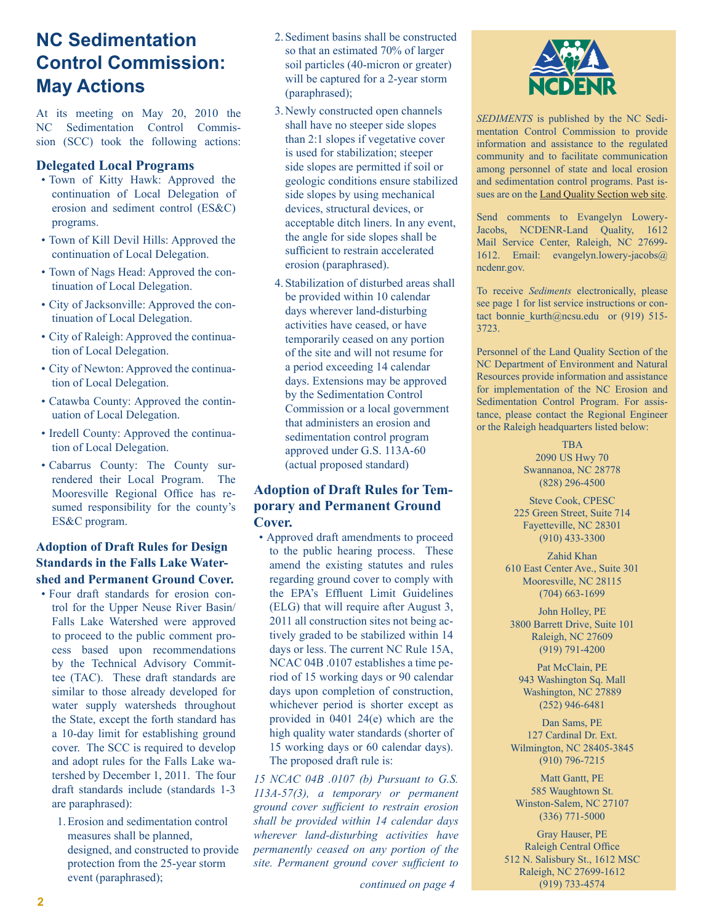# **NC Sedimentation Control Commission: May Actions**

At its meeting on May 20, 2010 the NC Sedimentation Control Commission (SCC) took the following actions:

#### **Delegated Local Programs**

- Town of Kitty Hawk: Approved the continuation of Local Delegation of erosion and sediment control (ES&C) programs.
- Town of Kill Devil Hills: Approved the continuation of Local Delegation.
- Town of Nags Head: Approved the continuation of Local Delegation.
- City of Jacksonville: Approved the continuation of Local Delegation.
- City of Raleigh: Approved the continuation of Local Delegation.
- City of Newton: Approved the continuation of Local Delegation.
- Catawba County: Approved the continuation of Local Delegation.
- Iredell County: Approved the continuation of Local Delegation.
- Cabarrus County: The County surrendered their Local Program. The Mooresville Regional Office has resumed responsibility for the county's ES&C program.

#### **Adoption of Draft Rules for Design Standards in the Falls Lake Watershed and Permanent Ground Cover.**

- Four draft standards for erosion control for the Upper Neuse River Basin/ Falls Lake Watershed were approved to proceed to the public comment process based upon recommendations by the Technical Advisory Committee (TAC). These draft standards are similar to those already developed for water supply watersheds throughout the State, except the forth standard has a 10-day limit for establishing ground cover. The SCC is required to develop and adopt rules for the Falls Lake watershed by December 1, 2011. The four draft standards include (standards 1-3 are paraphrased):
	- 1.Erosion and sedimentation control measures shall be planned, designed, and constructed to provide protection from the 25-year storm event (paraphrased);
- 2. Sediment basins shall be constructed so that an estimated 70% of larger soil particles (40-micron or greater) will be captured for a 2-year storm (paraphrased);
- 3. Newly constructed open channels shall have no steeper side slopes than 2:1 slopes if vegetative cover is used for stabilization; steeper side slopes are permitted if soil or geologic conditions ensure stabilized side slopes by using mechanical devices, structural devices, or acceptable ditch liners. In any event, the angle for side slopes shall be sufficient to restrain accelerated erosion (paraphrased).
- 4. Stabilization of disturbed areas shall be provided within 10 calendar days wherever land-disturbing activities have ceased, or have temporarily ceased on any portion of the site and will not resume for a period exceeding 14 calendar days. Extensions may be approved by the Sedimentation Control Commission or a local government that administers an erosion and sedimentation control program approved under G.S. 113A-60 (actual proposed standard)

#### **Adoption of Draft Rules for Temporary and Permanent Ground Cover.**

• Approved draft amendments to proceed to the public hearing process. These amend the existing statutes and rules regarding ground cover to comply with the EPA's Effluent Limit Guidelines (ELG) that will require after August 3, 2011 all construction sites not being actively graded to be stabilized within 14 days or less. The current NC Rule 15A, NCAC 04B .0107 establishes a time period of 15 working days or 90 calendar days upon completion of construction, whichever period is shorter except as provided in 0401 24(e) which are the high quality water standards (shorter of 15 working days or 60 calendar days). The proposed draft rule is:

*15 NCAC 04B .0107 (b) Pursuant to G.S. 113A-57(3), a temporary or permanent ground cover sufficient to restrain erosion shall be provided within 14 calendar days wherever land-disturbing activities have permanently ceased on any portion of the site. Permanent ground cover sufficient to* 

*continued on page 4*



*SEDIMENTS* is published by the NC Sedimentation Control Commission to provide information and assistance to the regulated community and to facilitate communication among personnel of state and local erosion and sedimentation control programs. Past issues are on the [Land Quality Section web site.](http://www.dlr.enr.state.nc.us/pages/sedimentationnewsletters.html)

Send comments to Evangelyn Lowery-Jacobs, NCDENR-Land Quality, 1612 Mail Service Center, Raleigh, NC 27699- 1612. Email: evangelyn.lowery-jacobs@ ncdenr.gov.

To receive *Sediments* electronically, please see page 1 for list service instructions or contact bonnie kurth@ncsu.edu or (919) 515-3723.

Personnel of the Land Quality Section of the NC Department of Environment and Natural Resources provide information and assistance for implementation of the NC Erosion and Sedimentation Control Program. For assistance, please contact the Regional Engineer or the Raleigh headquarters listed below:

> TBA 2090 US Hwy 70 Swannanoa, NC 28778 (828) 296-4500

Steve Cook, CPESC 225 Green Street, Suite 714 Fayetteville, NC 28301 (910) 433-3300

Zahid Khan 610 East Center Ave., Suite 301 Mooresville, NC 28115 (704) 663-1699

John Holley, PE 3800 Barrett Drive, Suite 101 Raleigh, NC 27609 (919) 791-4200

Pat McClain, PE 943 Washington Sq. Mall Washington, NC 27889 (252) 946-6481

Dan Sams, PE 127 Cardinal Dr. Ext. Wilmington, NC 28405-3845 (910) 796-7215

Matt Gantt, PE 585 Waughtown St. Winston-Salem, NC 27107 (336) 771-5000

Gray Hauser, PE Raleigh Central Office 512 N. Salisbury St., 1612 MSC Raleigh, NC 27699-1612 (919) 733-4574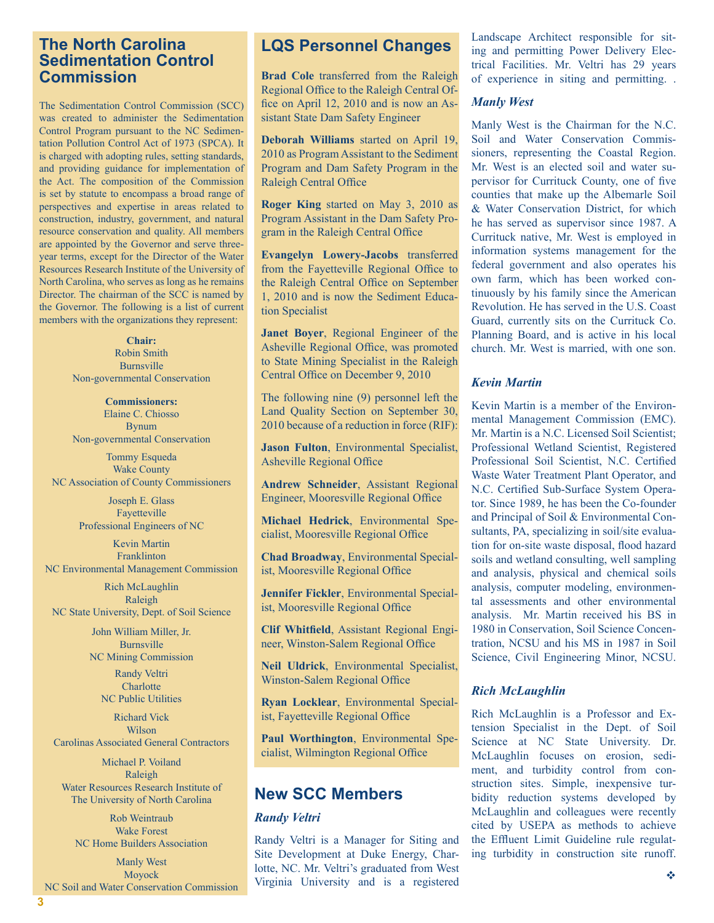#### **The North Carolina Sedimentation Control Commission**

The Sedimentation Control Commission (SCC) was created to administer the Sedimentation Control Program pursuant to the NC Sedimentation Pollution Control Act of 1973 (SPCA). It is charged with adopting rules, setting standards, and providing guidance for implementation of the Act. The composition of the Commission is set by statute to encompass a broad range of perspectives and expertise in areas related to construction, industry, government, and natural resource conservation and quality. All members are appointed by the Governor and serve threeyear terms, except for the Director of the Water Resources Research Institute of the University of North Carolina, who serves as long as he remains Director. The chairman of the SCC is named by the Governor. The following is a list of current members with the organizations they represent:

> **Chair:** Robin Smith Burnsville Non-governmental Conservation

> **Commissioners:** Elaine C. Chiosso Bynum Non-governmental Conservation

Tommy Esqueda Wake County NC Association of County Commissioners

> Joseph E. Glass Fayetteville Professional Engineers of NC

Kevin Martin Franklinton NC Environmental Management Commission

Rich McLaughlin Raleigh NC State University, Dept. of Soil Science

> John William Miller, Jr. Burnsville NC Mining Commission Randy Veltri

**Charlotte** NC Public Utilities

Richard Vick Wilson Carolinas Associated General Contractors

Michael P. Voiland Raleigh Water Resources Research Institute of The University of North Carolina

Rob Weintraub Wake Forest NC Home Builders Association

Manly West Moyock NC Soil and Water Conservation Commission

**3**

### **LQS Personnel Changes**

**Brad Cole** transferred from the Raleigh Regional Office to the Raleigh Central Office on April 12, 2010 and is now an Assistant State Dam Safety Engineer

**Deborah Williams** started on April 19, 2010 as Program Assistant to the Sediment Program and Dam Safety Program in the Raleigh Central Office

**Roger King** started on May 3, 2010 as Program Assistant in the Dam Safety Program in the Raleigh Central Office

**Evangelyn Lowery-Jacobs** transferred from the Fayetteville Regional Office to the Raleigh Central Office on September 1, 2010 and is now the Sediment Education Specialist

**Janet Boyer**, Regional Engineer of the Asheville Regional Office, was promoted to State Mining Specialist in the Raleigh Central Office on December 9, 2010

The following nine (9) personnel left the Land Quality Section on September 30, 2010 because of a reduction in force (RIF):

**Jason Fulton**, Environmental Specialist, Asheville Regional Office

**Andrew Schneider**, Assistant Regional Engineer, Mooresville Regional Office

**Michael Hedrick**, Environmental Specialist, Mooresville Regional Office

**Chad Broadway**, Environmental Specialist, Mooresville Regional Office

**Jennifer Fickler**, Environmental Specialist, Mooresville Regional Office

**Clif Whitfield**, Assistant Regional Engineer, Winston-Salem Regional Office

**Neil Uldrick**, Environmental Specialist, Winston-Salem Regional Office

**Ryan Locklear**, Environmental Specialist, Fayetteville Regional Office

**Paul Worthington**, Environmental Specialist, Wilmington Regional Office

### **New SCC Members**

#### *Randy Veltri*

Randy Veltri is a Manager for Siting and Site Development at Duke Energy, Charlotte, NC. Mr. Veltri's graduated from West Virginia University and is a registered Landscape Architect responsible for siting and permitting Power Delivery Electrical Facilities. Mr. Veltri has 29 years of experience in siting and permitting. .

#### *Manly West*

Manly West is the Chairman for the N.C. Soil and Water Conservation Commissioners, representing the Coastal Region. Mr. West is an elected soil and water supervisor for Currituck County, one of five counties that make up the Albemarle Soil & Water Conservation District, for which he has served as supervisor since 1987. A Currituck native, Mr. West is employed in information systems management for the federal government and also operates his own farm, which has been worked continuously by his family since the American Revolution. He has served in the U.S. Coast Guard, currently sits on the Currituck Co. Planning Board, and is active in his local church. Mr. West is married, with one son.

#### *Kevin Martin*

Kevin Martin is a member of the Environmental Management Commission (EMC). Mr. Martin is a N.C. Licensed Soil Scientist; Professional Wetland Scientist, Registered Professional Soil Scientist, N.C. Certified Waste Water Treatment Plant Operator, and N.C. Certified Sub-Surface System Operator. Since 1989, he has been the Co-founder and Principal of Soil & Environmental Consultants, PA, specializing in soil/site evaluation for on-site waste disposal, flood hazard soils and wetland consulting, well sampling and analysis, physical and chemical soils analysis, computer modeling, environmental assessments and other environmental analysis. Mr. Martin received his BS in 1980 in Conservation, Soil Science Concentration, NCSU and his MS in 1987 in Soil Science, Civil Engineering Minor, NCSU.

#### *Rich McLaughlin*

Rich McLaughlin is a Professor and Extension Specialist in the Dept. of Soil Science at NC State University. Dr. McLaughlin focuses on erosion, sediment, and turbidity control from construction sites. Simple, inexpensive turbidity reduction systems developed by McLaughlin and colleagues were recently cited by USEPA as methods to achieve the Effluent Limit Guideline rule regulating turbidity in construction site runoff.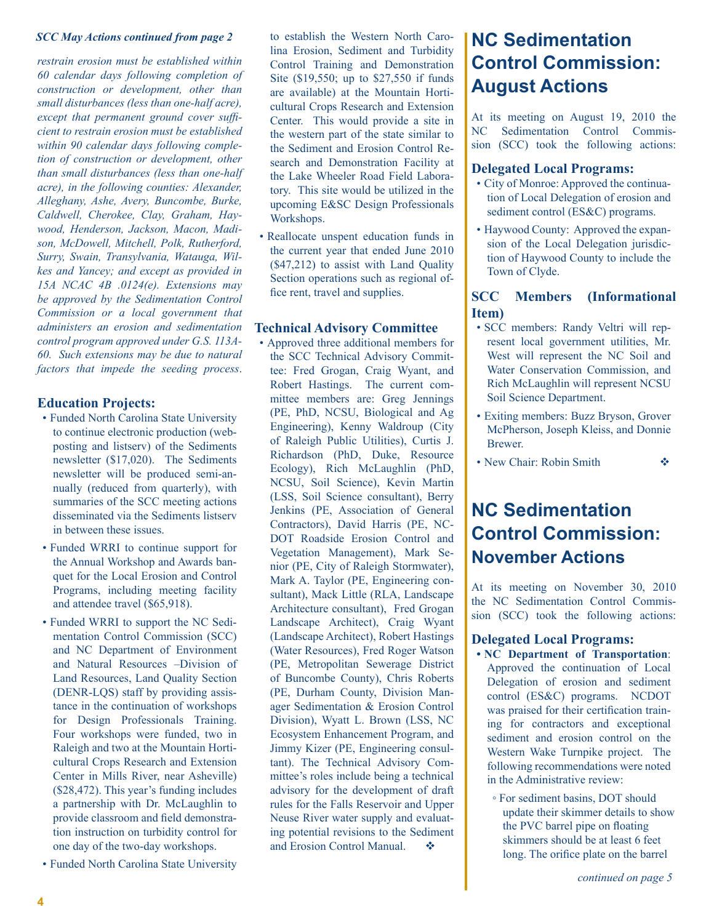*restrain erosion must be established within 60 calendar days following completion of construction or development, other than small disturbances (less than one-half acre), except that permanent ground cover sufficient to restrain erosion must be established within 90 calendar days following completion of construction or development, other than small disturbances (less than one-half acre), in the following counties: Alexander, Alleghany, Ashe, Avery, Buncombe, Burke, Caldwell, Cherokee, Clay, Graham, Haywood, Henderson, Jackson, Macon, Madison, McDowell, Mitchell, Polk, Rutherford, Surry, Swain, Transylvania, Watauga, Wilkes and Yancey; and except as provided in 15A NCAC 4B .0124(e). Extensions may be approved by the Sedimentation Control Commission or a local government that administers an erosion and sedimentation control program approved under G.S. 113A-60. Such extensions may be due to natural factors that impede the seeding process*.

#### **Education Projects:**

- Funded North Carolina State University to continue electronic production (webposting and listserv) of the Sediments newsletter (\$17,020). The Sediments newsletter will be produced semi-annually (reduced from quarterly), with summaries of the SCC meeting actions disseminated via the Sediments listserv in between these issues.
- Funded WRRI to continue support for the Annual Workshop and Awards banquet for the Local Erosion and Control Programs, including meeting facility and attendee travel (\$65,918).
- Funded WRRI to support the NC Sedimentation Control Commission (SCC) and NC Department of Environment and Natural Resources –Division of Land Resources, Land Quality Section (DENR-LQS) staff by providing assistance in the continuation of workshops for Design Professionals Training. Four workshops were funded, two in Raleigh and two at the Mountain Horticultural Crops Research and Extension Center in Mills River, near Asheville) (\$28,472). This year's funding includes a partnership with Dr. McLaughlin to provide classroom and field demonstration instruction on turbidity control for one day of the two-day workshops.
- Funded North Carolina State University

to establish the Western North Carolina Erosion, Sediment and Turbidity Control Training and Demonstration Site (\$19,550; up to \$27,550 if funds are available) at the Mountain Horticultural Crops Research and Extension Center. This would provide a site in the western part of the state similar to the Sediment and Erosion Control Research and Demonstration Facility at the Lake Wheeler Road Field Laboratory. This site would be utilized in the upcoming E&SC Design Professionals Workshops. *SCC May Actions continued from page 2* **b** establish the Western North Caro- **NC Sedimentation** 

> • Reallocate unspent education funds in the current year that ended June 2010 (\$47,212) to assist with Land Quality Section operations such as regional office rent, travel and supplies.

#### **Technical Advisory Committee**

• Approved three additional members for the SCC Technical Advisory Committee: Fred Grogan, Craig Wyant, and Robert Hastings. The current committee members are: Greg Jennings (PE, PhD, NCSU, Biological and Ag Engineering), Kenny Waldroup (City of Raleigh Public Utilities), Curtis J. Richardson (PhD, Duke, Resource Ecology), Rich McLaughlin (PhD, NCSU, Soil Science), Kevin Martin (LSS, Soil Science consultant), Berry Jenkins (PE, Association of General Contractors), David Harris (PE, NC-DOT Roadside Erosion Control and Vegetation Management), Mark Senior (PE, City of Raleigh Stormwater), Mark A. Taylor (PE, Engineering consultant), Mack Little (RLA, Landscape Architecture consultant), Fred Grogan Landscape Architect), Craig Wyant (Landscape Architect), Robert Hastings (Water Resources), Fred Roger Watson (PE, Metropolitan Sewerage District of Buncombe County), Chris Roberts (PE, Durham County, Division Manager Sedimentation & Erosion Control Division), Wyatt L. Brown (LSS, NC Ecosystem Enhancement Program, and Jimmy Kizer (PE, Engineering consultant). The Technical Advisory Committee's roles include being a technical advisory for the development of draft rules for the Falls Reservoir and Upper Neuse River water supply and evaluating potential revisions to the Sediment and Erosion Control Manual.

# **Control Commission: August Actions**

At its meeting on August 19, 2010 the NC Sedimentation Control Commission (SCC) took the following actions:

#### **Delegated Local Programs:**

- City of Monroe: Approved the continuation of Local Delegation of erosion and sediment control (ES&C) programs.
- Haywood County: Approved the expansion of the Local Delegation jurisdiction of Haywood County to include the Town of Clyde.

#### **SCC Members (Informational Item)**

- SCC members: Randy Veltri will represent local government utilities, Mr. West will represent the NC Soil and Water Conservation Commission, and Rich McLaughlin will represent NCSU Soil Science Department.
- Exiting members: Buzz Bryson, Grover McPherson, Joseph Kleiss, and Donnie Brewer.
- New Chair: Robin Smith  $\Diamond$

# **NC Sedimentation Control Commission: November Actions**

At its meeting on November 30, 2010 the NC Sedimentation Control Commission (SCC) took the following actions:

#### **Delegated Local Programs:**

- **• NC Department of Transportation**: Approved the continuation of Local Delegation of erosion and sediment control (ES&C) programs. NCDOT was praised for their certification training for contractors and exceptional sediment and erosion control on the Western Wake Turnpike project. The following recommendations were noted in the Administrative review:
	- For sediment basins, DOT should update their skimmer details to show the PVC barrel pipe on floating skimmers should be at least 6 feet long. The orifice plate on the barrel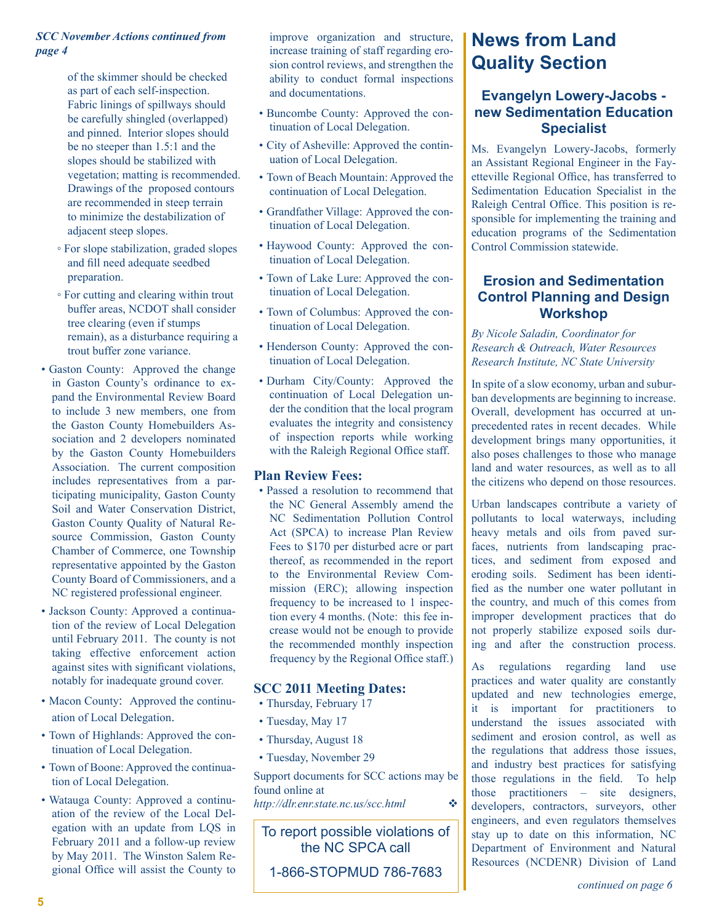#### *SCC November Actions continued from page 4*

of the skimmer should be checked as part of each self-inspection. Fabric linings of spillways should be carefully shingled (overlapped) and pinned. Interior slopes should be no steeper than 1.5:1 and the slopes should be stabilized with vegetation; matting is recommended. Drawings of the proposed contours are recommended in steep terrain to minimize the destabilization of adjacent steep slopes.

- For slope stabilization, graded slopes and fill need adequate seedbed preparation.
- For cutting and clearing within trout buffer areas, NCDOT shall consider tree clearing (even if stumps remain), as a disturbance requiring a trout buffer zone variance.
- Gaston County: Approved the change in Gaston County's ordinance to expand the Environmental Review Board to include 3 new members, one from the Gaston County Homebuilders Association and 2 developers nominated by the Gaston County Homebuilders Association. The current composition includes representatives from a participating municipality, Gaston County Soil and Water Conservation District, Gaston County Quality of Natural Resource Commission, Gaston County Chamber of Commerce, one Township representative appointed by the Gaston County Board of Commissioners, and a NC registered professional engineer.
- Jackson County: Approved a continuation of the review of Local Delegation until February 2011. The county is not taking effective enforcement action against sites with significant violations, notably for inadequate ground cover.
- Macon County: Approved the continuation of Local Delegation.
- Town of Highlands: Approved the continuation of Local Delegation.
- Town of Boone: Approved the continuation of Local Delegation.
- Watauga County: Approved a continuation of the review of the Local Delegation with an update from LQS in February 2011 and a follow-up review by May 2011. The Winston Salem Regional Office will assist the County to

improve organization and structure, increase training of staff regarding erosion control reviews, and strengthen the ability to conduct formal inspections and documentations.

- Buncombe County: Approved the continuation of Local Delegation.
- City of Asheville: Approved the continuation of Local Delegation.
- Town of Beach Mountain: Approved the continuation of Local Delegation.
- Grandfather Village: Approved the continuation of Local Delegation.
- Haywood County: Approved the continuation of Local Delegation.
- Town of Lake Lure: Approved the continuation of Local Delegation.
- Town of Columbus: Approved the continuation of Local Delegation.
- Henderson County: Approved the continuation of Local Delegation.
- Durham City/County: Approved the continuation of Local Delegation under the condition that the local program evaluates the integrity and consistency of inspection reports while working with the Raleigh Regional Office staff.

#### **Plan Review Fees:**

• Passed a resolution to recommend that the NC General Assembly amend the NC Sedimentation Pollution Control Act (SPCA) to increase Plan Review Fees to \$170 per disturbed acre or part thereof, as recommended in the report to the Environmental Review Commission (ERC); allowing inspection frequency to be increased to 1 inspection every 4 months. (Note: this fee increase would not be enough to provide the recommended monthly inspection frequency by the Regional Office staff.)

#### **SCC 2011 Meeting Dates:**

- Thursday, February 17
- Tuesday, May 17
- Thursday, August 18
- Tuesday, November 29

Support documents for SCC actions may be found online at

*<http://dlr.enr.state.nc.us/scc.html>*v

To report possible violations of the NC SPCA call

1-866-STOPMUD 786-7683

# **News from Land Quality Section**

#### **Evangelyn Lowery-Jacobs new Sedimentation Education Specialist**

Ms. Evangelyn Lowery-Jacobs, formerly an Assistant Regional Engineer in the Fayetteville Regional Office, has transferred to Sedimentation Education Specialist in the Raleigh Central Office. This position is responsible for implementing the training and education programs of the Sedimentation Control Commission statewide.

#### **Erosion and Sedimentation Control Planning and Design Workshop**

*By Nicole Saladin, Coordinator for Research & Outreach, Water Resources Research Institute, NC State University*

In spite of a slow economy, urban and suburban developments are beginning to increase. Overall, development has occurred at unprecedented rates in recent decades. While development brings many opportunities, it also poses challenges to those who manage land and water resources, as well as to all the citizens who depend on those resources.

Urban landscapes contribute a variety of pollutants to local waterways, including heavy metals and oils from paved surfaces, nutrients from landscaping practices, and sediment from exposed and eroding soils. Sediment has been identified as the number one water pollutant in the country, and much of this comes from improper development practices that do not properly stabilize exposed soils during and after the construction process.

As regulations regarding land use practices and water quality are constantly updated and new technologies emerge, it is important for practitioners to understand the issues associated with sediment and erosion control, as well as the regulations that address those issues, and industry best practices for satisfying those regulations in the field. To help those practitioners – site designers, developers, contractors, surveyors, other engineers, and even regulators themselves stay up to date on this information, NC Department of Environment and Natural Resources (NCDENR) Division of Land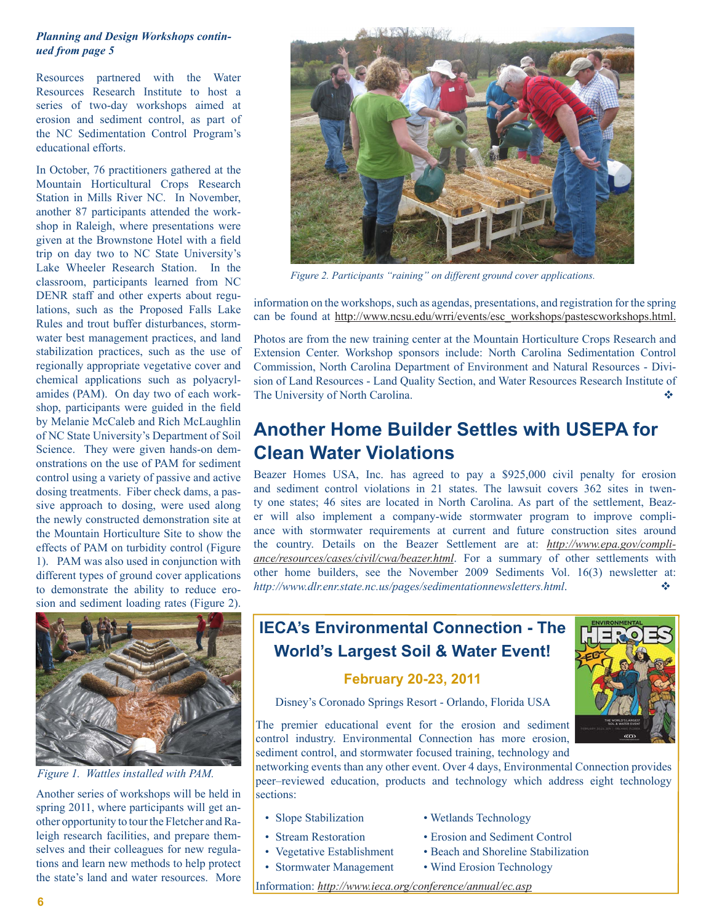#### *Planning and Design Workshops continued from page 5*

Resources partnered with the Water Resources Research Institute to host a series of two-day workshops aimed at erosion and sediment control, as part of the NC Sedimentation Control Program's educational efforts.

In October, 76 practitioners gathered at the Mountain Horticultural Crops Research Station in Mills River NC. In November, another 87 participants attended the workshop in Raleigh, where presentations were given at the Brownstone Hotel with a field trip on day two to NC State University's Lake Wheeler Research Station. In the classroom, participants learned from NC DENR staff and other experts about regulations, such as the Proposed Falls Lake Rules and trout buffer disturbances, stormwater best management practices, and land stabilization practices, such as the use of regionally appropriate vegetative cover and chemical applications such as polyacrylamides (PAM). On day two of each workshop, participants were guided in the field by Melanie McCaleb and Rich McLaughlin of NC State University's Department of Soil Science. They were given hands-on demonstrations on the use of PAM for sediment control using a variety of passive and active dosing treatments. Fiber check dams, a passive approach to dosing, were used along the newly constructed demonstration site at the Mountain Horticulture Site to show the effects of PAM on turbidity control (Figure 1). PAM was also used in conjunction with different types of ground cover applications to demonstrate the ability to reduce erosion and sediment loading rates (Figure 2).



*Figure 1. Wattles installed with PAM.*

Another series of workshops will be held in spring 2011, where participants will get another opportunity to tour the Fletcher and Raleigh research facilities, and prepare themselves and their colleagues for new regulations and learn new methods to help protect the state's land and water resources. More



*Figure 2. Participants "raining" on different ground cover applications.*

information on the workshops, such as agendas, presentations, and registration for the spring can be found at [http://www.ncsu.edu/wrri/events/esc\\_workshops/pastescworkshops.html.](http://www.ncsu.edu/wrri/events/esc_workshops/pastescworkshops.html)

Photos are from the new training center at the Mountain Horticulture Crops Research and Extension Center. Workshop sponsors include: North Carolina Sedimentation Control Commission, North Carolina Department of Environment and Natural Resources - Division of Land Resources - Land Quality Section, and Water Resources Research Institute of The University of North Carolina.

# **Another Home Builder Settles with USEPA for Clean Water Violations**

Beazer Homes USA, Inc. has agreed to pay a \$925,000 civil penalty for erosion and sediment control violations in 21 states. The lawsuit covers 362 sites in twenty one states; 46 sites are located in North Carolina. As part of the settlement, Beazer will also implement a company-wide stormwater program to improve compliance with stormwater requirements at current and future construction sites around the country. Details on the Beazer Settlement are at: *[http://www.epa.gov/compli](http://www.epa.gov/compliance/resources/cases/civil/cwa/beazer.html)[ance/resources/cases/civil/cwa/beazer.html](http://www.epa.gov/compliance/resources/cases/civil/cwa/beazer.html)*. For a summary of other settlements with other home builders, see the November 2009 Sediments Vol. 16(3) newsletter at: *http://www.dlr.enr.state.nc.us/pages/sedimentationnewsletters.html*. v

# **IECA's Environmental Connection - The World's Largest Soil & Water Event!**

#### **February 20-23, 2011**

Disney's Coronado Springs Resort - Orlando, Florida USA

The premier educational event for the erosion and sediment control industry. Environmental Connection has more erosion, sediment control, and stormwater focused training, technology and

networking events than any other event. Over 4 days, Environmental Connection provides peer–reviewed education, products and technology which address eight technology sections:

- 
- 
- 
- 
- Slope Stabilization Wetlands Technology
- Stream Restoration Erosion and Sediment Control
	-
- Stormwater Management Wind Erosion Technology



Information: *<http://www.ieca.org/conference/annual/ec.asp>*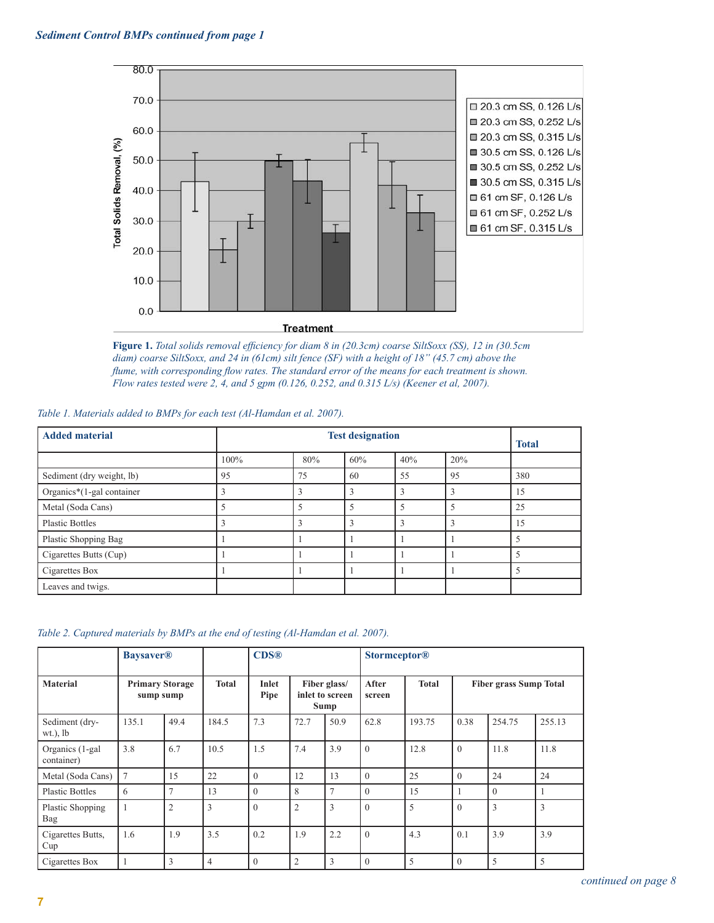

**Figure 1.** *Total solids removal efficiency for diam 8 in (20.3cm) coarse SiltSoxx (SS), 12 in (30.5cm diam) coarse SiltSoxx, and 24 in (61cm) silt fence (SF) with a height of 18" (45.7 cm) above the flume, with corresponding flow rates. The standard error of the means for each treatment is shown. Flow rates tested were 2, 4, and 5 gpm (0.126, 0.252, and 0.315 L/s) (Keener et al, 2007).*

| Table 1. Materials added to BMPs for each test (Al-Hamdan et al. 2007). |  |  |  |
|-------------------------------------------------------------------------|--|--|--|
|                                                                         |  |  |  |

| <b>Added material</b>     |      | <b>Test designation</b> |     |     |     |     |  |  |  |
|---------------------------|------|-------------------------|-----|-----|-----|-----|--|--|--|
|                           | 100% | 80%                     | 60% | 40% | 20% |     |  |  |  |
| Sediment (dry weight, lb) | 95   | 75                      | 60  | 55  | 95  | 380 |  |  |  |
| Organics*(1-gal container |      | $\mathbf{3}$            | 3   | 3   |     | 15  |  |  |  |
| Metal (Soda Cans)         |      | 5                       | 5   | 5   |     | 25  |  |  |  |
| <b>Plastic Bottles</b>    |      | 3                       | 3   | 3   |     | 15  |  |  |  |
| Plastic Shopping Bag      |      |                         |     |     |     |     |  |  |  |
| Cigarettes Butts (Cup)    |      |                         |     |     |     |     |  |  |  |
| Cigarettes Box            |      |                         |     |     |     |     |  |  |  |
| Leaves and twigs.         |      |                         |     |     |     |     |  |  |  |

|  | Table 2. Captured materials by BMPs at the end of testing (Al-Hamdan et al. 2007). |  |  |  |  |  |  |
|--|------------------------------------------------------------------------------------|--|--|--|--|--|--|
|  |                                                                                    |  |  |  |  |  |  |

|                               | <b>Baysaver®</b>                    |                |                | <b>CDS®</b>                                              |                |                 | <b>Stormceptor®</b> |        |                               |          |        |
|-------------------------------|-------------------------------------|----------------|----------------|----------------------------------------------------------|----------------|-----------------|---------------------|--------|-------------------------------|----------|--------|
| <b>Material</b>               | <b>Primary Storage</b><br>sump sump |                | <b>Total</b>   | Inlet<br>Fiber glass/<br>Pipe<br>inlet to screen<br>Sump |                | After<br>screen | <b>Total</b>        |        | <b>Fiber grass Sump Total</b> |          |        |
| Sediment (dry-<br>$wt.$ ), lb | 135.1                               | 49.4           | 184.5          | 7.3                                                      | 72.7           | 50.9            | 62.8                | 193.75 | 0.38                          | 254.75   | 255.13 |
| Organics (1-gal<br>container) | 3.8                                 | 6.7            | 10.5           | 1.5                                                      | 7.4            | 3.9             | $\theta$            | 12.8   | $\Omega$                      | 11.8     | 11.8   |
| Metal (Soda Cans)             | $\tau$                              | 15             | 22             | $\theta$                                                 | 12             | 13              | $\theta$            | 25     | $\theta$                      | 24       | 24     |
| <b>Plastic Bottles</b>        | 6                                   | $\tau$         | 13             | $\theta$                                                 | 8              | $\tau$          | $\theta$            | 15     |                               | $\Omega$ |        |
| Plastic Shopping<br>Bag       | $\overline{1}$                      | $\overline{2}$ | 3              | $\Omega$                                                 | $\overline{2}$ | 3               | $\theta$            | 5      | $\Omega$                      | 3        | 3      |
| Cigarettes Butts,<br>Cup      | 1.6                                 | 1.9            | 3.5            | 0.2                                                      | 1.9            | 2.2             | $\theta$            | 4.3    | 0.1                           | 3.9      | 3.9    |
| Cigarettes Box                |                                     | 3              | $\overline{4}$ | $\Omega$                                                 | $\overline{2}$ | 3               | $\theta$            | 5      | $\Omega$                      | 5        | 5      |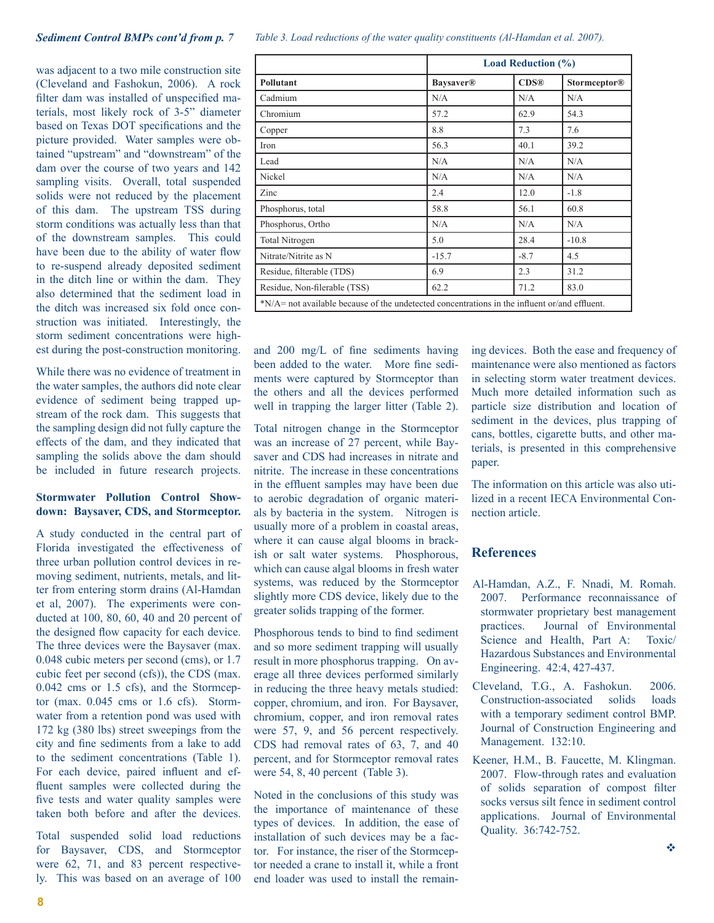was adjacent to a two mile construction site (Cleveland and Fashokun, 2006). A rock filter dam was installed of unspecified materials, most likely rock of 3-5" diameter based on Texas DOT specifications and the picture provided. Water samples were obtained "upstream" and "downstream" of the dam over the course of two years and 142 sampling visits. Overall, total suspended solids were not reduced by the placement of this dam. The upstream TSS during storm conditions was actually less than that of the downstream samples. This could have been due to the ability of water flow to re-suspend already deposited sediment in the ditch line or within the dam. They also determined that the sediment load in the ditch was increased six fold once construction was initiated. Interestingly, the storm sediment concentrations were highest during the post-construction monitoring.

While there was no evidence of treatment in the water samples, the authors did note clear evidence of sediment being trapped upstream of the rock dam. This suggests that the sampling design did not fully capture the effects of the dam, and they indicated that sampling the solids above the dam should be included in future research projects.

#### **Stormwater Pollution Control Showdown: Baysaver, CDS, and Stormceptor.**

A study conducted in the central part of Florida investigated the effectiveness of three urban pollution control devices in removing sediment, nutrients, metals, and litter from entering storm drains (Al-Hamdan et al, 2007). The experiments were conducted at 100, 80, 60, 40 and 20 percent of the designed flow capacity for each device. The three devices were the Baysaver (max. 0.048 cubic meters per second (cms), or 1.7 cubic feet per second (cfs)), the CDS (max. 0.042 cms or 1.5 cfs), and the Stormceptor (max.  $0.045$  cms or  $1.6$  cfs). Stormwater from a retention pond was used with 172 kg (380 lbs) street sweepings from the city and fine sediments from a lake to add to the sediment concentrations (Table 1). For each device, paired influent and effluent samples were collected during the five tests and water quality samples were taken both before and after the devices.

Total suspended solid load reductions for Baysaver, CDS, and Stormceptor were 62, 71, and 83 percent respectively. This was based on an average of 100

*Sediment Control BMPs cont'd from p. 7 Table 3. Load reductions of the water quality constituents (Al-Hamdan et al. 2007).*

|                                                                                               | <b>Load Reduction (%)</b>    |             |                     |  |  |  |  |  |
|-----------------------------------------------------------------------------------------------|------------------------------|-------------|---------------------|--|--|--|--|--|
| Pollutant                                                                                     | <b>Baysaver</b> <sup>®</sup> | <b>CDS®</b> | <b>Stormceptor®</b> |  |  |  |  |  |
| Cadmium                                                                                       | N/A                          | N/A         | N/A                 |  |  |  |  |  |
| Chromium                                                                                      | 57.2                         | 62.9        | 54.3                |  |  |  |  |  |
| Copper                                                                                        | 8.8                          | 7.3         | 7.6                 |  |  |  |  |  |
| Iron                                                                                          | 56.3                         | 40.1        | 39.2                |  |  |  |  |  |
| Lead                                                                                          | N/A                          | N/A         | N/A                 |  |  |  |  |  |
| Nickel                                                                                        | N/A                          | N/A         | N/A                 |  |  |  |  |  |
| Zinc                                                                                          | 2.4                          | 12.0        | $-1.8$              |  |  |  |  |  |
| Phosphorus, total                                                                             | 58.8                         | 56.1        | 60.8                |  |  |  |  |  |
| Phosphorus, Ortho                                                                             | N/A                          | N/A         | N/A                 |  |  |  |  |  |
| <b>Total Nitrogen</b>                                                                         | 5.0                          | 28.4        | $-10.8$             |  |  |  |  |  |
| Nitrate/Nitrite as N                                                                          | $-15.7$                      | $-8.7$      | 4.5                 |  |  |  |  |  |
| Residue, filterable (TDS)                                                                     | 6.9                          | 2.3         | 31.2                |  |  |  |  |  |
| Residue, Non-filerable (TSS)                                                                  | 62.2                         | 71.2        | 83.0                |  |  |  |  |  |
| $N/A$ not available because of the undetected concentrations in the influent or/and effluent. |                              |             |                     |  |  |  |  |  |

and 200 mg/L of fine sediments having been added to the water. More fine sediments were captured by Stormceptor than the others and all the devices performed well in trapping the larger litter (Table 2).

Total nitrogen change in the Stormceptor was an increase of 27 percent, while Baysaver and CDS had increases in nitrate and nitrite. The increase in these concentrations in the effluent samples may have been due to aerobic degradation of organic materials by bacteria in the system. Nitrogen is usually more of a problem in coastal areas, where it can cause algal blooms in brackish or salt water systems. Phosphorous, which can cause algal blooms in fresh water systems, was reduced by the Stormceptor slightly more CDS device, likely due to the greater solids trapping of the former.

Phosphorous tends to bind to find sediment and so more sediment trapping will usually result in more phosphorus trapping. On average all three devices performed similarly in reducing the three heavy metals studied: copper, chromium, and iron. For Baysaver, chromium, copper, and iron removal rates were 57, 9, and 56 percent respectively. CDS had removal rates of 63, 7, and 40 percent, and for Stormceptor removal rates were 54, 8, 40 percent (Table 3).

Noted in the conclusions of this study was the importance of maintenance of these types of devices. In addition, the ease of installation of such devices may be a factor. For instance, the riser of the Stormceptor needed a crane to install it, while a front end loader was used to install the remaining devices. Both the ease and frequency of maintenance were also mentioned as factors in selecting storm water treatment devices. Much more detailed information such as particle size distribution and location of sediment in the devices, plus trapping of cans, bottles, cigarette butts, and other materials, is presented in this comprehensive paper.

The information on this article was also utilized in a recent IECA Environmental Connection article.

#### **References**

- Al-Hamdan, A.Z., F. Nnadi, M. Romah. 2007. Performance reconnaissance of stormwater proprietary best management practices. Journal of Environmental Science and Health, Part A: Toxic/ Hazardous Substances and Environmental Engineering. 42:4, 427-437.
- Cleveland, T.G., A. Fashokun. 2006. Construction-associated solids loads with a temporary sediment control BMP. Journal of Construction Engineering and Management. 132:10.
- Keener, H.M., B. Faucette, M. Klingman. 2007. Flow-through rates and evaluation of solids separation of compost filter socks versus silt fence in sediment control applications. Journal of Environmental Quality. 36:742-752.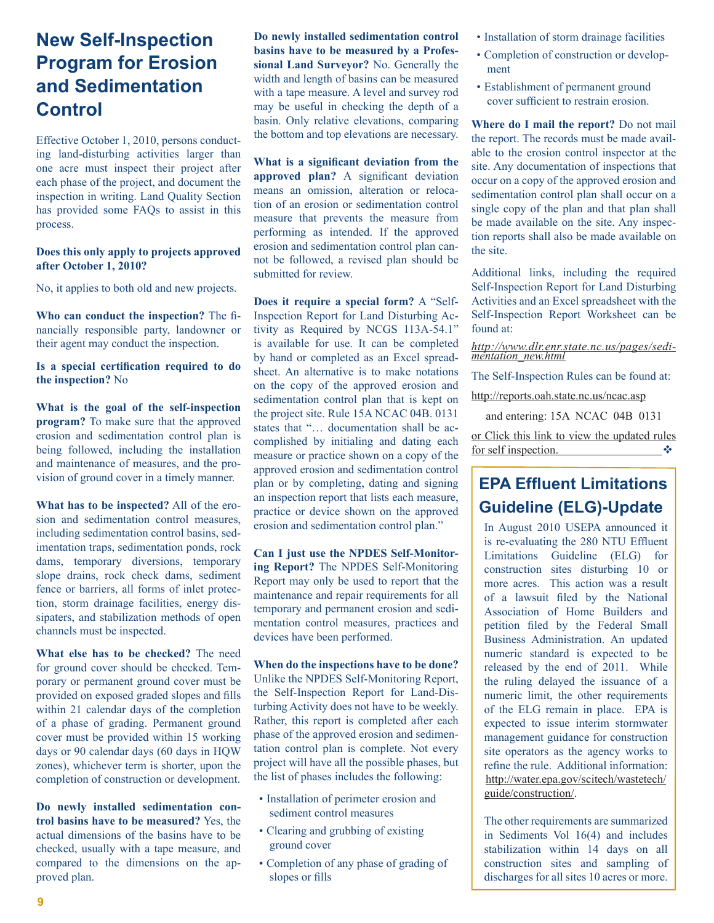# **New Self-Inspection Program for Erosion and Sedimentation Control**

Effective October 1, 2010, persons conducting land-disturbing activities larger than one acre must inspect their project after each phase of the project, and document the inspection in writing. Land Quality Section has provided some FAQs to assist in this process.

#### **Does this only apply to projects approved after October 1, 2010?**

No, it applies to both old and new projects.

**Who can conduct the inspection?** The financially responsible party, landowner or their agent may conduct the inspection.

**Is a special certification required to do the inspection?** No

**What is the goal of the self-inspection program?** To make sure that the approved erosion and sedimentation control plan is being followed, including the installation and maintenance of measures, and the provision of ground cover in a timely manner.

**What has to be inspected?** All of the erosion and sedimentation control measures, including sedimentation control basins, sedimentation traps, sedimentation ponds, rock dams, temporary diversions, temporary slope drains, rock check dams, sediment fence or barriers, all forms of inlet protection, storm drainage facilities, energy dissipaters, and stabilization methods of open channels must be inspected.

**What else has to be checked?** The need for ground cover should be checked. Temporary or permanent ground cover must be provided on exposed graded slopes and fills within 21 calendar days of the completion of a phase of grading. Permanent ground cover must be provided within 15 working days or 90 calendar days (60 days in HQW zones), whichever term is shorter, upon the completion of construction or development.

**Do newly installed sedimentation control basins have to be measured?** Yes, the actual dimensions of the basins have to be checked, usually with a tape measure, and compared to the dimensions on the approved plan.

**Do newly installed sedimentation control basins have to be measured by a Professional Land Surveyor?** No. Generally the width and length of basins can be measured with a tape measure. A level and survey rod may be useful in checking the depth of a basin. Only relative elevations, comparing the bottom and top elevations are necessary.

**What is a significant deviation from the approved plan?** A significant deviation means an omission, alteration or relocation of an erosion or sedimentation control measure that prevents the measure from performing as intended. If the approved erosion and sedimentation control plan cannot be followed, a revised plan should be submitted for review.

**Does it require a special form?** A "Self-Inspection Report for Land Disturbing Activity as Required by NCGS 113A-54.1" is available for use. It can be completed by hand or completed as an Excel spreadsheet. An alternative is to make notations on the copy of the approved erosion and sedimentation control plan that is kept on the project site. Rule 15A NCAC 04B. 0131 states that "… documentation shall be accomplished by initialing and dating each measure or practice shown on a copy of the approved erosion and sedimentation control plan or by completing, dating and signing an inspection report that lists each measure, practice or device shown on the approved erosion and sedimentation control plan."

**Can I just use the NPDES Self-Monitoring Report?** The NPDES Self-Monitoring Report may only be used to report that the maintenance and repair requirements for all temporary and permanent erosion and sedimentation control measures, practices and devices have been performed.

**When do the inspections have to be done?**  Unlike the NPDES Self-Monitoring Report, the Self-Inspection Report for Land-Disturbing Activity does not have to be weekly. Rather, this report is completed after each phase of the approved erosion and sedimentation control plan is complete. Not every project will have all the possible phases, but the list of phases includes the following:

- Installation of perimeter erosion and sediment control measures
- Clearing and grubbing of existing ground cover
- Completion of any phase of grading of slopes or fills
- Installation of storm drainage facilities
- Completion of construction or development
- Establishment of permanent ground cover sufficient to restrain erosion.

**Where do I mail the report?** Do not mail the report. The records must be made available to the erosion control inspector at the site. Any documentation of inspections that occur on a copy of the approved erosion and sedimentation control plan shall occur on a single copy of the plan and that plan shall be made available on the site. Any inspection reports shall also be made available on the site.

Additional links, including the required Self-Inspection Report for Land Disturbing Activities and an Excel spreadsheet with the Self-Inspection Report Worksheet can be found at:

*[http://www.dlr.enr.state.nc.us/pages/sedi-](http://www.dlr.enr.state.nc.us/pages/sedimentation_new.html) [mentation\\_new.html](http://www.dlr.enr.state.nc.us/pages/sedimentation_new.html)*

The Self-Inspection Rules can be found at:

<http://reports.oah.state.nc.us/ncac.asp>

and entering: 15A NCAC 04B 0131

or [Click this link to view the updated rules](http://reports.oah.state.nc.us/ncac/title%2015a%20-%20environment%20and%20natural%20resources/chapter%2004%20-%20sedimentation%20control/subchapter%20b/15a%20ncac%2004b%20.0131.html) [for self inspection.](http://reports.oah.state.nc.us/ncac/title%2015a%20-%20environment%20and%20natural%20resources/chapter%2004%20-%20sedimentation%20control/subchapter%20b/15a%20ncac%2004b%20.0131.html)

## **EPA Effluent Limitations Guideline (ELG)-Update**

In August 2010 USEPA announced it is re-evaluating the 280 NTU Effluent Limitations Guideline (ELG) for construction sites disturbing 10 or more acres. This action was a result of a lawsuit filed by the National Association of Home Builders and petition filed by the Federal Small Business Administration. An updated numeric standard is expected to be released by the end of 2011. While the ruling delayed the issuance of a numeric limit, the other requirements of the ELG remain in place. EPA is expected to issue interim stormwater management guidance for construction site operators as the agency works to refine the rule. Additional information: [http://water.epa.gov/scitech/wastetech/](http://water.epa.gov/scitech/wastetech/guide/construction/) [guide/construction/.](http://water.epa.gov/scitech/wastetech/guide/construction/)

The other requirements are summarized in Sediments Vol 16(4) and includes stabilization within 14 days on all construction sites and sampling of discharges for all sites 10 acres or more.